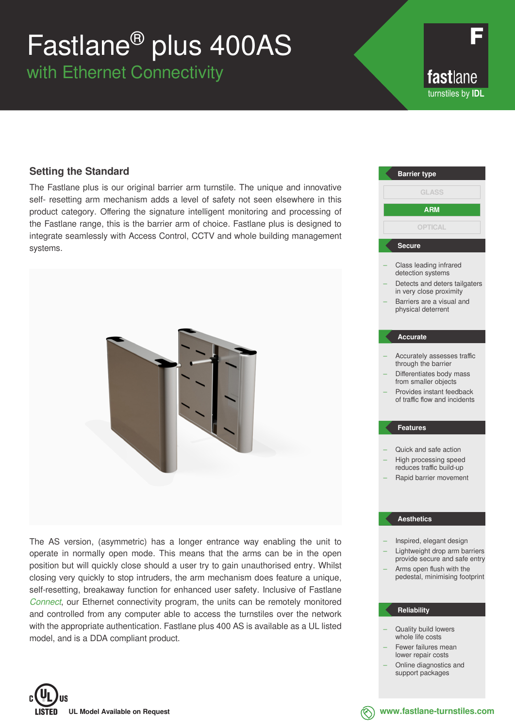# Fastlane® plus 400AS

with Ethernet Connectivity

fastlane turnstiles by **IDL**

### **Setting the Standard**

The Fastlane plus is our original barrier arm turnstile. The unique and innovative self- resetting arm mechanism adds a level of safety not seen elsewhere in this product category. Offering the signature intelligent monitoring and processing of the Fastlane range, this is the barrier arm of choice. Fastlane plus is designed to integrate seamlessly with Access Control, CCTV and whole building management systems.



The AS version, (asymmetric) has a longer entrance way enabling the unit to operate in normally open mode. This means that the arms can be in the open position but will quickly close should a user try to gain unauthorised entry. Whilst closing very quickly to stop intruders, the arm mechanism does feature a unique, self-resetting, breakaway function for enhanced user safety. Inclusive of Fastlane *Connect*, our Ethernet connectivity program, the units can be remotely monitored and controlled from any computer able to access the turnstiles over the network with the appropriate authentication. Fastlane plus 400 AS is available as a UL listed model, and is a DDA compliant product.



- Quality build lowers whole life costs
- Fewer failures mean lower repair costs
- Online diagnostics and support packages



**www.fastlane-turnstiles.com**